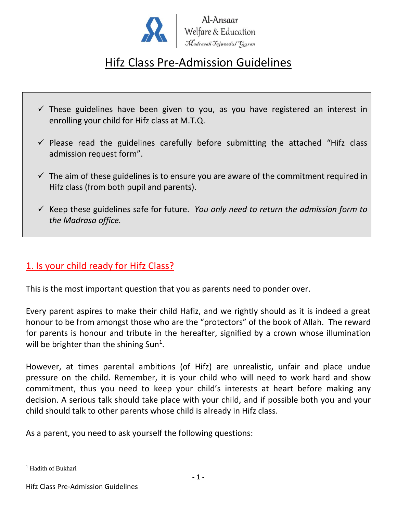

# Hifz Class Pre-Admission Guidelines

- $\checkmark$  These guidelines have been given to you, as you have registered an interest in enrolling your child for Hifz class at M.T.Q.
- $\checkmark$  Please read the guidelines carefully before submitting the attached "Hifz class admission request form".
- $\checkmark$  The aim of these guidelines is to ensure you are aware of the commitment required in Hifz class (from both pupil and parents).
- ✓ Keep these guidelines safe for future. *You only need to return the admission form to the Madrasa office.*

## 1. Is your child ready for Hifz Class?

This is the most important question that you as parents need to ponder over.

Every parent aspires to make their child Hafiz, and we rightly should as it is indeed a great honour to be from amongst those who are the "protectors" of the book of Allah. The reward for parents is honour and tribute in the hereafter, signified by a crown whose illumination will be brighter than the shining Sun<sup>1</sup>.

However, at times parental ambitions (of Hifz) are unrealistic, unfair and place undue pressure on the child. Remember, it is your child who will need to work hard and show commitment, thus you need to keep your child's interests at heart before making any decision. A serious talk should take place with your child, and if possible both you and your child should talk to other parents whose child is already in Hifz class.

As a parent, you need to ask yourself the following questions:

 $\overline{a}$ 

<sup>&</sup>lt;sup>1</sup> Hadith of Bukhari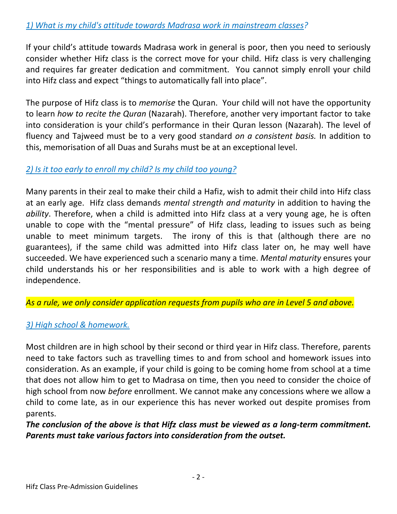If your child's attitude towards Madrasa work in general is poor, then you need to seriously consider whether Hifz class is the correct move for your child. Hifz class is very challenging and requires far greater dedication and commitment. You cannot simply enroll your child into Hifz class and expect "things to automatically fall into place".

The purpose of Hifz class is to *memorise* the Quran. Your child will not have the opportunity to learn *how to recite the Quran* (Nazarah). Therefore, another very important factor to take into consideration is your child's performance in their Quran lesson (Nazarah). The level of fluency and Tajweed must be to a very good standard *on a consistent basis.* In addition to this, memorisation of all Duas and Surahs must be at an exceptional level.

### *2) Is it too early to enroll my child? Is my child too young?*

Many parents in their zeal to make their child a Hafiz, wish to admit their child into Hifz class at an early age. Hifz class demands *mental strength and maturity* in addition to having the *ability*. Therefore, when a child is admitted into Hifz class at a very young age, he is often unable to cope with the "mental pressure" of Hifz class, leading to issues such as being unable to meet minimum targets. The irony of this is that (although there are no guarantees), if the same child was admitted into Hifz class later on, he may well have succeeded. We have experienced such a scenario many a time. *Mental maturity* ensures your child understands his or her responsibilities and is able to work with a high degree of independence.

*As a rule, we only consider application requests from pupils who are in Level 5 and above.*

## *3) High school & homework.*

Most children are in high school by their second or third year in Hifz class. Therefore, parents need to take factors such as travelling times to and from school and homework issues into consideration. As an example, if your child is going to be coming home from school at a time that does not allow him to get to Madrasa on time, then you need to consider the choice of high school from now *before* enrollment. We cannot make any concessions where we allow a child to come late, as in our experience this has never worked out despite promises from parents.

*The conclusion of the above is that Hifz class must be viewed as a long-term commitment. Parents must take various factors into consideration from the outset.*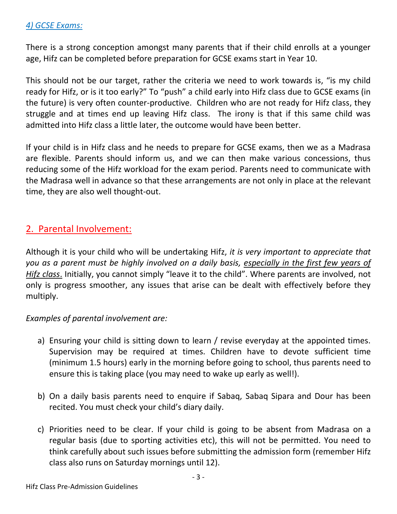### *4) GCSE Exams:*

There is a strong conception amongst many parents that if their child enrolls at a younger age, Hifz can be completed before preparation for GCSE exams start in Year 10.

This should not be our target, rather the criteria we need to work towards is, "is my child ready for Hifz, or is it too early?" To "push" a child early into Hifz class due to GCSE exams (in the future) is very often counter-productive. Children who are not ready for Hifz class, they struggle and at times end up leaving Hifz class. The irony is that if this same child was admitted into Hifz class a little later, the outcome would have been better.

If your child is in Hifz class and he needs to prepare for GCSE exams, then we as a Madrasa are flexible. Parents should inform us, and we can then make various concessions, thus reducing some of the Hifz workload for the exam period. Parents need to communicate with the Madrasa well in advance so that these arrangements are not only in place at the relevant time, they are also well thought-out.

### 2. Parental Involvement:

Although it is your child who will be undertaking Hifz, *it is very important to appreciate that you as a parent must be highly involved on a daily basis, especially in the first few years of Hifz class*. Initially, you cannot simply "leave it to the child". Where parents are involved, not only is progress smoother, any issues that arise can be dealt with effectively before they multiply.

### *Examples of parental involvement are:*

- a) Ensuring your child is sitting down to learn / revise everyday at the appointed times. Supervision may be required at times. Children have to devote sufficient time (minimum 1.5 hours) early in the morning before going to school, thus parents need to ensure this is taking place (you may need to wake up early as well!).
- b) On a daily basis parents need to enquire if Sabaq, Sabaq Sipara and Dour has been recited. You must check your child's diary daily.
- c) Priorities need to be clear. If your child is going to be absent from Madrasa on a regular basis (due to sporting activities etc), this will not be permitted. You need to think carefully about such issues before submitting the admission form (remember Hifz class also runs on Saturday mornings until 12).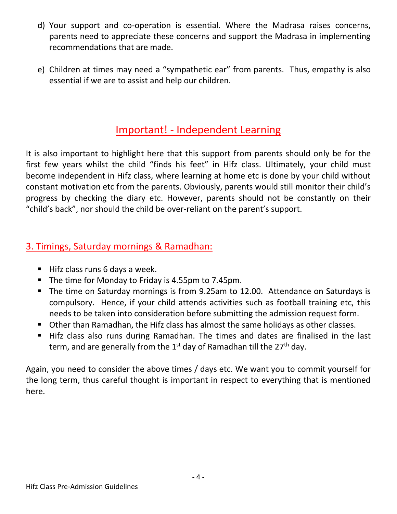- d) Your support and co-operation is essential. Where the Madrasa raises concerns, parents need to appreciate these concerns and support the Madrasa in implementing recommendations that are made.
- e) Children at times may need a "sympathetic ear" from parents. Thus, empathy is also essential if we are to assist and help our children.

## Important! - Independent Learning

It is also important to highlight here that this support from parents should only be for the first few years whilst the child "finds his feet" in Hifz class. Ultimately, your child must become independent in Hifz class, where learning at home etc is done by your child without constant motivation etc from the parents. Obviously, parents would still monitor their child's progress by checking the diary etc. However, parents should not be constantly on their "child's back", nor should the child be over-reliant on the parent's support.

## 3. Timings, Saturday mornings & Ramadhan:

- Hifz class runs 6 days a week.
- The time for Monday to Friday is 4.55pm to 7.45pm.
- The time on Saturday mornings is from 9.25am to 12.00. Attendance on Saturdays is compulsory. Hence, if your child attends activities such as football training etc, this needs to be taken into consideration before submitting the admission request form.
- Other than Ramadhan, the Hifz class has almost the same holidays as other classes.
- Hifz class also runs during Ramadhan. The times and dates are finalised in the last term, and are generally from the  $1<sup>st</sup>$  day of Ramadhan till the  $27<sup>th</sup>$  day.

Again, you need to consider the above times / days etc. We want you to commit yourself for the long term, thus careful thought is important in respect to everything that is mentioned here.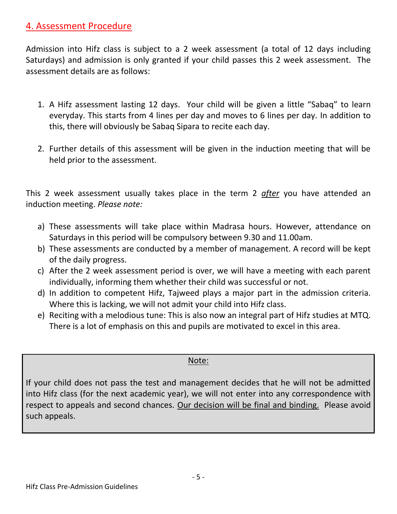## 4. Assessment Procedure

Admission into Hifz class is subject to a 2 week assessment (a total of 12 days including Saturdays) and admission is only granted if your child passes this 2 week assessment. The assessment details are as follows:

- 1. A Hifz assessment lasting 12 days. Your child will be given a little "Sabaq" to learn everyday. This starts from 4 lines per day and moves to 6 lines per day. In addition to this, there will obviously be Sabaq Sipara to recite each day.
- 2. Further details of this assessment will be given in the induction meeting that will be held prior to the assessment.

This 2 week assessment usually takes place in the term 2 *after* you have attended an induction meeting. *Please note:*

- a) These assessments will take place within Madrasa hours. However, attendance on Saturdays in this period will be compulsory between 9.30 and 11.00am.
- b) These assessments are conducted by a member of management. A record will be kept of the daily progress.
- c) After the 2 week assessment period is over, we will have a meeting with each parent individually, informing them whether their child was successful or not.
- d) In addition to competent Hifz, Tajweed plays a major part in the admission criteria. Where this is lacking, we will not admit your child into Hifz class.
- e) Reciting with a melodious tune: This is also now an integral part of Hifz studies at MTQ. There is a lot of emphasis on this and pupils are motivated to excel in this area.

### Note:

If your child does not pass the test and management decides that he will not be admitted into Hifz class (for the next academic year), we will not enter into any correspondence with respect to appeals and second chances. Our decision will be final and binding. Please avoid such appeals.